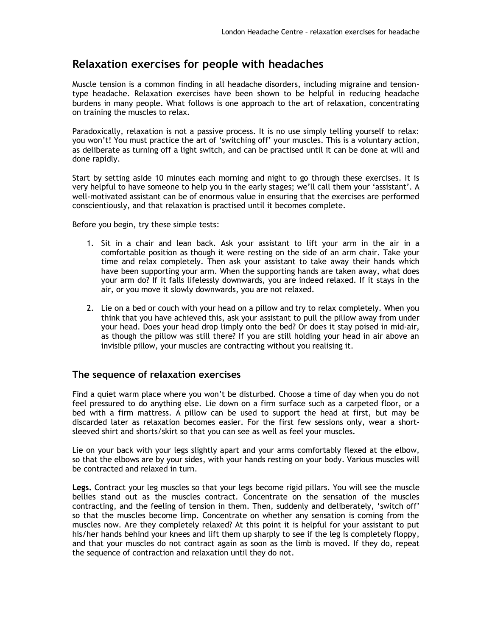## **Relaxation exercises for people with headaches**

Muscle tension is a common finding in all headache disorders, including migraine and tensiontype headache. Relaxation exercises have been shown to be helpful in reducing headache burdens in many people. What follows is one approach to the art of relaxation, concentrating on training the muscles to relax.

Paradoxically, relaxation is not a passive process. It is no use simply telling yourself to relax: you won't! You must practice the art of 'switching off' your muscles. This is a voluntary action, as deliberate as turning off a light switch, and can be practised until it can be done at will and done rapidly.

Start by setting aside 10 minutes each morning and night to go through these exercises. It is very helpful to have someone to help you in the early stages; we'll call them your 'assistant'. A well-motivated assistant can be of enormous value in ensuring that the exercises are performed conscientiously, and that relaxation is practised until it becomes complete.

Before you begin, try these simple tests:

- 1. Sit in a chair and lean back. Ask your assistant to lift your arm in the air in a comfortable position as though it were resting on the side of an arm chair. Take your time and relax completely. Then ask your assistant to take away their hands which have been supporting your arm. When the supporting hands are taken away, what does your arm do? If it falls lifelessly downwards, you are indeed relaxed. If it stays in the air, or you move it slowly downwards, you are not relaxed.
- 2. Lie on a bed or couch with your head on a pillow and try to relax completely. When you think that you have achieved this, ask your assistant to pull the pillow away from under your head. Does your head drop limply onto the bed? Or does it stay poised in mid-air, as though the pillow was still there? If you are still holding your head in air above an invisible pillow, your muscles are contracting without you realising it.

## **The sequence of relaxation exercises**

Find a quiet warm place where you won't be disturbed. Choose a time of day when you do not feel pressured to do anything else. Lie down on a firm surface such as a carpeted floor, or a bed with a firm mattress. A pillow can be used to support the head at first, but may be discarded later as relaxation becomes easier. For the first few sessions only, wear a shortsleeved shirt and shorts/skirt so that you can see as well as feel your muscles.

Lie on your back with your legs slightly apart and your arms comfortably flexed at the elbow, so that the elbows are by your sides, with your hands resting on your body. Various muscles will be contracted and relaxed in turn.

**Legs.** Contract your leg muscles so that your legs become rigid pillars. You will see the muscle bellies stand out as the muscles contract. Concentrate on the sensation of the muscles contracting, and the feeling of tension in them. Then, suddenly and deliberately, 'switch off' so that the muscles become limp. Concentrate on whether any sensation is coming from the muscles now. Are they completely relaxed? At this point it is helpful for your assistant to put his/her hands behind your knees and lift them up sharply to see if the leg is completely floppy, and that your muscles do not contract again as soon as the limb is moved. If they do, repeat the sequence of contraction and relaxation until they do not.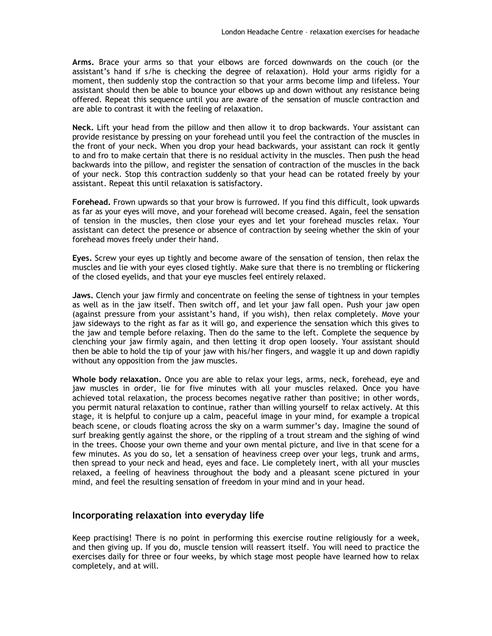**Arms.** Brace your arms so that your elbows are forced downwards on the couch (or the assistant's hand if s/he is checking the degree of relaxation). Hold your arms rigidly for a moment, then suddenly stop the contraction so that your arms become limp and lifeless. Your assistant should then be able to bounce your elbows up and down without any resistance being offered. Repeat this sequence until you are aware of the sensation of muscle contraction and are able to contrast it with the feeling of relaxation.

**Neck.** Lift your head from the pillow and then allow it to drop backwards. Your assistant can provide resistance by pressing on your forehead until you feel the contraction of the muscles in the front of your neck. When you drop your head backwards, your assistant can rock it gently to and fro to make certain that there is no residual activity in the muscles. Then push the head backwards into the pillow, and register the sensation of contraction of the muscles in the back of your neck. Stop this contraction suddenly so that your head can be rotated freely by your assistant. Repeat this until relaxation is satisfactory.

**Forehead.** Frown upwards so that your brow is furrowed. If you find this difficult, look upwards as far as your eyes will move, and your forehead will become creased. Again, feel the sensation of tension in the muscles, then close your eyes and let your forehead muscles relax. Your assistant can detect the presence or absence of contraction by seeing whether the skin of your forehead moves freely under their hand.

**Eyes.** Screw your eyes up tightly and become aware of the sensation of tension, then relax the muscles and lie with your eyes closed tightly. Make sure that there is no trembling or flickering of the closed eyelids, and that your eye muscles feel entirely relaxed.

**Jaws.** Clench your jaw firmly and concentrate on feeling the sense of tightness in your temples as well as in the jaw itself. Then switch off, and let your jaw fall open. Push your jaw open (against pressure from your assistant's hand, if you wish), then relax completely. Move your jaw sideways to the right as far as it will go, and experience the sensation which this gives to the jaw and temple before relaxing. Then do the same to the left. Complete the sequence by clenching your jaw firmly again, and then letting it drop open loosely. Your assistant should then be able to hold the tip of your jaw with his/her fingers, and waggle it up and down rapidly without any opposition from the jaw muscles.

**Whole body relaxation.** Once you are able to relax your legs, arms, neck, forehead, eye and jaw muscles in order, lie for five minutes with all your muscles relaxed. Once you have achieved total relaxation, the process becomes negative rather than positive; in other words, you permit natural relaxation to continue, rather than willing yourself to relax actively. At this stage, it is helpful to conjure up a calm, peaceful image in your mind, for example a tropical beach scene, or clouds floating across the sky on a warm summer's day. Imagine the sound of surf breaking gently against the shore, or the rippling of a trout stream and the sighing of wind in the trees. Choose your own theme and your own mental picture, and live in that scene for a few minutes. As you do so, let a sensation of heaviness creep over your legs, trunk and arms, then spread to your neck and head, eyes and face. Lie completely inert, with all your muscles relaxed, a feeling of heaviness throughout the body and a pleasant scene pictured in your mind, and feel the resulting sensation of freedom in your mind and in your head.

## **Incorporating relaxation into everyday life**

Keep practising! There is no point in performing this exercise routine religiously for a week, and then giving up. If you do, muscle tension will reassert itself. You will need to practice the exercises daily for three or four weeks, by which stage most people have learned how to relax completely, and at will.